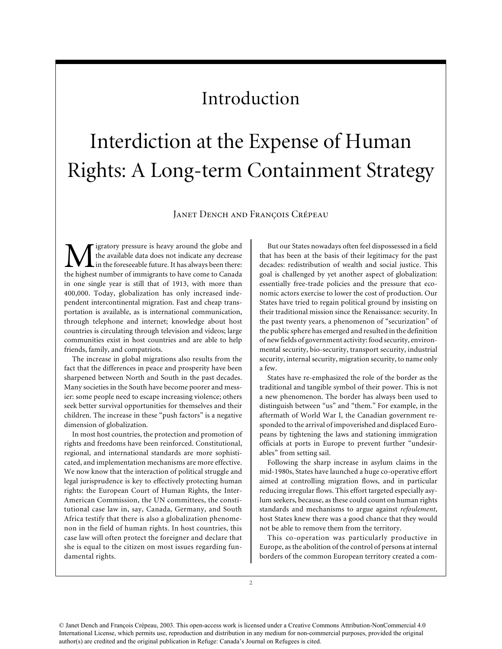## Introduction

## Interdiction at the Expense of Human Rights: A Long-term Containment Strategy

Janet Dench and François Crépeau

igratory pressure is heavy around the globe and the available data does not indicate any decrease in the foreseeable future. It has always been there: the highest number of immigrants to have come to Canada in one single year is still that of 1913, with more than 400,000. Today, globalization has only increased independent intercontinental migration. Fast and cheap transportation is available, as is international communication, through telephone and internet; knowledge about host countries is circulating through television and videos; large communities exist in host countries and are able to help friends, family, and compatriots.

The increase in global migrations also results from the fact that the differences in peace and prosperity have been sharpened between North and South in the past decades. Many societies in the South have become poorer and messier: some people need to escape increasing violence; others seek better survival opportunities for themselves and their children. The increase in these "push factors" is a negative dimension of globalization.

In most host countries, the protection and promotion of rights and freedoms have been reinforced. Constitutional, regional, and international standards are more sophisticated, and implementation mechanisms are more effective. We now know that the interaction of political struggle and legal jurisprudence is key to effectively protecting human rights: the European Court of Human Rights, the Inter-American Commission, the UN committees, the constitutional case law in, say, Canada, Germany, and South Africa testify that there is also a globalization phenomenon in the field of human rights. In host countries, this case law will often protect the foreigner and declare that she is equal to the citizen on most issues regarding fundamental rights.

But our States nowadays often feel dispossessed in a field that has been at the basis of their legitimacy for the past decades: redistribution of wealth and social justice. This goal is challenged by yet another aspect of globalization: essentially free-trade policies and the pressure that economic actors exercise to lower the cost of production. Our States have tried to regain political ground by insisting on their traditional mission since the Renaissance: security. In the past twenty years, a phenomenon of "securization" of the public sphere has emerged and resulted in the definition of new fields of government activity: food security, environmental security, bio-security, transport security, industrial security, internal security, migration security, to name only a few.

States have re-emphasized the role of the border as the traditional and tangible symbol of their power. This is not a new phenomenon. The border has always been used to distinguish between "us" and "them." For example, in the aftermath of World War I, the Canadian government responded to the arrival of impoverished and displaced Europeans by tightening the laws and stationing immigration officials at ports in Europe to prevent further "undesirables" from setting sail.

Following the sharp increase in asylum claims in the mid-1980s, States have launched a huge co-operative effort aimed at controlling migration flows, and in particular reducing irregular flows. This effort targeted especially asylum seekers, because, as these could count on human rights standards and mechanisms to argue against *refoulement*, host States knew there was a good chance that they would not be able to remove them from the territory.

This co-operation was particularly productive in Europe, as the abolition of the control of persons at internal borders of the common European territory created a com-

© Janet Dench and François Crépeau, 2003. This open-access work is licensed under a Creative Commons Attribution-NonCommercial 4.0 International License, which permits use, reproduction and distribution in any medium for non-commercial purposes, provided the original author(s) are credited and the original publication in Refuge: Canada's Journal on Refugees is cited.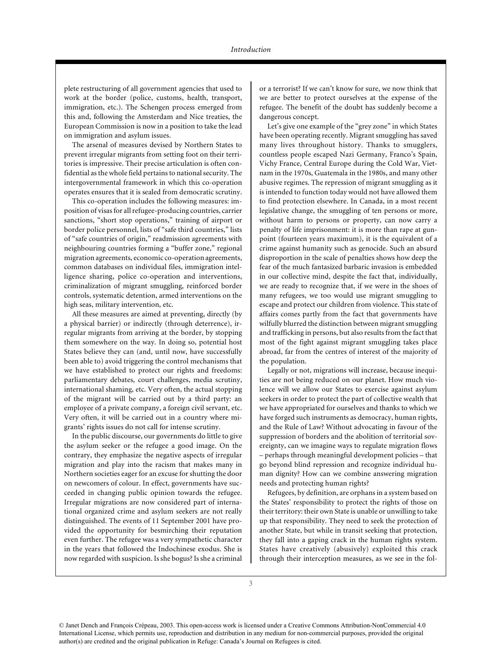plete restructuring of all government agencies that used to work at the border (police, customs, health, transport, immigration, etc.). The Schengen process emerged from this and, following the Amsterdam and Nice treaties, the European Commission is now in a position to take the lead on immigration and asylum issues.

The arsenal of measures devised by Northern States to prevent irregular migrants from setting foot on their territories is impressive. Their precise articulation is often confidential as the whole field pertains to national security. The intergovernmental framework in which this co-operation operates ensures that it is sealed from democratic scrutiny.

This co-operation includes the following measures: imposition of visas for all refugee-producing countries, carrier sanctions, "short stop operations," training of airport or border police personnel, lists of "safe third countries," lists of "safe countries of origin," readmission agreements with neighbouring countries forming a "buffer zone," regional migration agreements, economic co-operation agreements, common databases on individual files, immigration intelligence sharing, police co-operation and interventions, criminalization of migrant smuggling, reinforced border controls, systematic detention, armed interventions on the high seas, military intervention, etc.

All these measures are aimed at preventing, directly (by a physical barrier) or indirectly (through deterrence), irregular migrants from arriving at the border, by stopping them somewhere on the way. In doing so, potential host States believe they can (and, until now, have successfully been able to) avoid triggering the control mechanisms that we have established to protect our rights and freedoms: parliamentary debates, court challenges, media scrutiny, international shaming, etc. Very often, the actual stopping of the migrant will be carried out by a third party: an employee of a private company, a foreign civil servant, etc. Very often, it will be carried out in a country where migrants' rights issues do not call for intense scrutiny.

In the public discourse, our governments do little to give the asylum seeker or the refugee a good image. On the contrary, they emphasize the negative aspects of irregular migration and play into the racism that makes many in Northern societies eager for an excuse for shutting the door on newcomers of colour. In effect, governments have succeeded in changing public opinion towards the refugee. Irregular migrations are now considered part of international organized crime and asylum seekers are not really distinguished. The events of 11 September 2001 have provided the opportunity for besmirching their reputation even further. The refugee was a very sympathetic character in the years that followed the Indochinese exodus. She is now regarded with suspicion. Is she bogus? Is she a criminal

or a terrorist? If we can't know for sure, we now think that we are better to protect ourselves at the expense of the refugee. The benefit of the doubt has suddenly become a dangerous concept.

Let's give one example of the "grey zone" in which States have been operating recently. Migrant smuggling has saved many lives throughout history. Thanks to smugglers, countless people escaped Nazi Germany, Franco's Spain, Vichy France, Central Europe during the Cold War, Vietnam in the 1970s, Guatemala in the 1980s, and many other abusive regimes. The repression of migrant smuggling as it is intended to function today would not have allowed them to find protection elsewhere. In Canada, in a most recent legislative change, the smuggling of ten persons or more, without harm to persons or property, can now carry a penalty of life imprisonment: it is more than rape at gunpoint (fourteen years maximum), it is the equivalent of a crime against humanity such as genocide. Such an absurd disproportion in the scale of penalties shows how deep the fear of the much fantasized barbaric invasion is embedded in our collective mind, despite the fact that, individually, we are ready to recognize that, if we were in the shoes of many refugees, we too would use migrant smuggling to escape and protect our children from violence. This state of affairs comes partly from the fact that governments have wilfully blurred the distinction between migrant smuggling and trafficking in persons, but also results from the fact that most of the fight against migrant smuggling takes place abroad, far from the centres of interest of the majority of the population.

Legally or not, migrations will increase, because inequities are not being reduced on our planet. How much violence will we allow our States to exercise against asylum seekers in order to protect the part of collective wealth that we have appropriated for ourselves and thanks to which we have forged such instruments as democracy, human rights, and the Rule of Law? Without advocating in favour of the suppression of borders and the abolition of territorial sovereignty, can we imagine ways to regulate migration flows – perhaps through meaningful development policies – that go beyond blind repression and recognize individual human dignity? How can we combine answering migration needs and protecting human rights?

Refugees, by definition, are orphans in a system based on the States' responsibility to protect the rights of those on their territory: their own State is unable or unwilling to take up that responsibility. They need to seek the protection of another State, but while in transit seeking that protection, they fall into a gaping crack in the human rights system. States have creatively (abusively) exploited this crack through their interception measures, as we see in the fol-

<sup>©</sup> Janet Dench and François Crépeau, 2003. This open-access work is licensed under a Creative Commons Attribution-NonCommercial 4.0 International License, which permits use, reproduction and distribution in any medium for non-commercial purposes, provided the original author(s) are credited and the original publication in Refuge: Canada's Journal on Refugees is cited.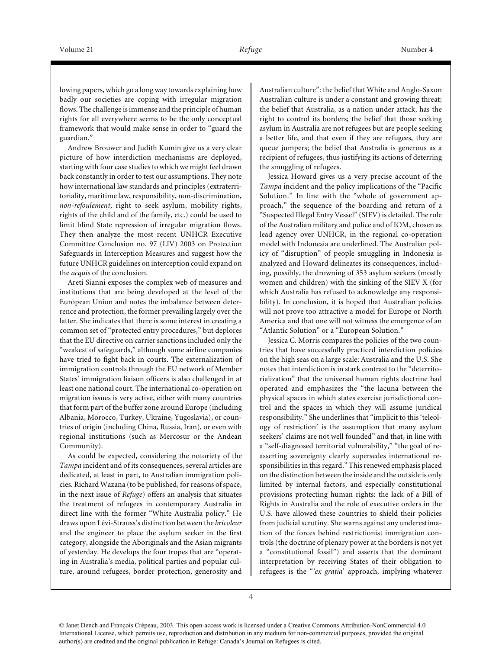lowing papers, which go a long way towards explaining how badly our societies are coping with irregular migration flows. The challenge is immense and the principle of human rights for all everywhere seems to be the only conceptual framework that would make sense in order to "guard the guardian."

Andrew Brouwer and Judith Kumin give us a very clear picture of how interdiction mechanisms are deployed, starting with four case studies to which we might feel drawn back constantly in order to test our assumptions. They note how international law standards and principles (extraterritoriality, maritime law, responsibility, non-discrimination, *non-refoulement*, right to seek asylum, mobility rights, rights of the child and of the family, etc.) could be used to limit blind State repression of irregular migration flows. They then analyze the most recent UNHCR Executive Committee Conclusion no. 97 (LIV) 2003 on Protection Safeguards in Interception Measures and suggest how the future UNHCR guidelines on interception could expand on the *acquis* of the conclusion.

Areti Sianni exposes the complex web of measures and institutions that are being developed at the level of the European Union and notes the imbalance between deterrence and protection, the former prevailing largely over the latter. She indicates that there is some interest in creating a common set of "protected entry procedures," but deplores that the EU directive on carrier sanctions included only the "weakest of safeguards," although some airline companies have tried to fight back in courts. The externalization of immigration controls through the EU network of Member States' immigration liaison officers is also challenged in at least one national court. The international co-operation on migration issues is very active, either with many countries that form part of the buffer zone around Europe (including Albania, Morocco, Turkey, Ukraine, Yugoslavia), or countries of origin (including China, Russia, Iran), or even with regional institutions (such as Mercosur or the Andean Community).

As could be expected, considering the notoriety of the *Tampa* incident and of its consequences, several articles are dedicated, at least in part, to Australian immigration policies. Richard Wazana (to be published, for reasons of space, in the next issue of *Refuge*) offers an analysis that situates the treatment of refugees in contemporary Australia in direct line with the former "White Australia policy." He draws upon Lévi-Strauss's distinction between the *bricoleur* and the engineer to place the asylum seeker in the first category, alongside the Aboriginals and the Asian migrants of yesterday. He develops the four tropes that are "operating in Australia's media, political parties and popular culture, around refugees, border protection, generosity and Australian culture": the belief that White and Anglo-Saxon Australian culture is under a constant and growing threat; the belief that Australia, as a nation under attack, has the right to control its borders; the belief that those seeking asylum in Australia are not refugees but are people seeking a better life, and that even if they are refugees, they are queue jumpers; the belief that Australia is generous as a recipient of refugees, thus justifying its actions of deterring the smuggling of refugees.

Jessica Howard gives us a very precise account of the *Tampa* incident and the policy implications of the "Pacific Solution." In line with the "whole of government approach," the sequence of the boarding and return of a "Suspected Illegal Entry Vessel" (SIEV) is detailed. The role of the Australian military and police and of IOM, chosen as lead agency over UNHCR, in the regional co-operation model with Indonesia are underlined. The Australian policy of "disruption" of people smuggling in Indonesia is analyzed and Howard delineates its consequences, including, possibly, the drowning of 353 asylum seekers (mostly women and children) with the sinking of the SIEV X (for which Australia has refused to acknowledge any responsibility). In conclusion, it is hoped that Australian policies will not prove too attractive a model for Europe or North America and that one will not witness the emergence of an "Atlantic Solution" or a "European Solution."

Jessica C. Morris compares the policies of the two countries that have successfully practiced interdiction policies on the high seas on a large scale: Australia and the U.S. She notes that interdiction is in stark contrast to the "deterritorialization" that the universal human rights doctrine had operated and emphasizes the "the lacuna between the physical spaces in which states exercise jurisdictional control and the spaces in which they will assume juridical responsibility." She underlines that "implicit to this 'teleology of restriction' is the assumption that many asylum seekers' claims are not well founded" and that, in line with a "self-diagnosed territorial vulnerability," "the goal of reasserting sovereignty clearly supersedes international responsibilities in this regard." This renewed emphasis placed on the distinction between the inside and the outside is only limited by internal factors, and especially constitutional provisions protecting human rights: the lack of a Bill of Rights in Australia and the role of executive orders in the U.S. have allowed these countries to shield their policies from judicial scrutiny. She warns against any underestimation of the forces behind restrictionist immigration controls (the doctrine of plenary power at the borders is not yet a "constitutional fossil") and asserts that the dominant interpretation by receiving States of their obligation to refugees is the "*'ex gratia*' approach, implying whatever

<sup>©</sup> Janet Dench and François Crépeau, 2003. This open-access work is licensed under a Creative Commons Attribution-NonCommercial 4.0 International License, which permits use, reproduction and distribution in any medium for non-commercial purposes, provided the original author(s) are credited and the original publication in Refuge: Canada's Journal on Refugees is cited.